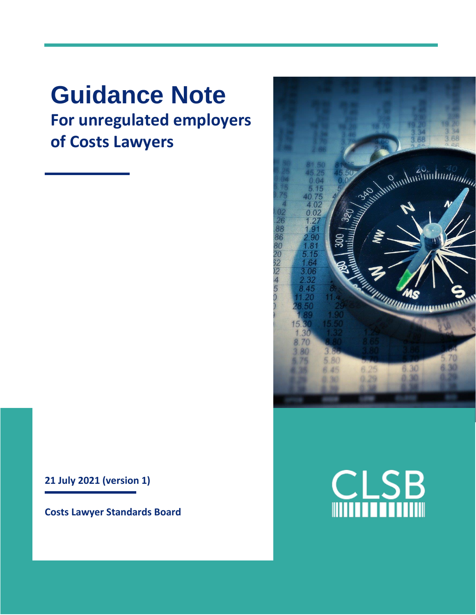### **Guidance Note For unregulated employers of Costs Lawyers**

**21 July 2021 (version 1)**

**Costs Lawyer Standards Board**



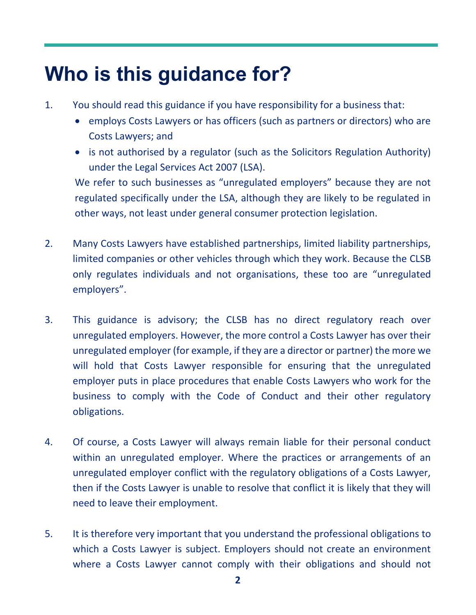## **Who is this guidance for?**

- 1. You should read this guidance if you have responsibility for a business that:
	- employs Costs Lawyers or has officers (such as partners or directors) who are Costs Lawyers; and
	- is not authorised by a regulator (such as the Solicitors Regulation Authority) under the Legal Services Act 2007 (LSA).

We refer to such businesses as "unregulated employers" because they are not regulated specifically under the LSA, although they are likely to be regulated in other ways, not least under general consumer protection legislation.

- 2. Many Costs Lawyers have established partnerships, limited liability partnerships, limited companies or other vehicles through which they work. Because the CLSB only regulates individuals and not organisations, these too are "unregulated employers".
- 3. This guidance is advisory; the CLSB has no direct regulatory reach over unregulated employers. However, the more control a Costs Lawyer has over their unregulated employer (for example, if they are a director or partner) the more we will hold that Costs Lawyer responsible for ensuring that the unregulated employer puts in place procedures that enable Costs Lawyers who work for the business to comply with the Code of Conduct and their other regulatory obligations.
- 4. Of course, a Costs Lawyer will always remain liable for their personal conduct within an unregulated employer. Where the practices or arrangements of an unregulated employer conflict with the regulatory obligations of a Costs Lawyer, then if the Costs Lawyer is unable to resolve that conflict it is likely that they will need to leave their employment.
- 5. It is therefore very important that you understand the professional obligations to which a Costs Lawyer is subject. Employers should not create an environment where a Costs Lawyer cannot comply with their obligations and should not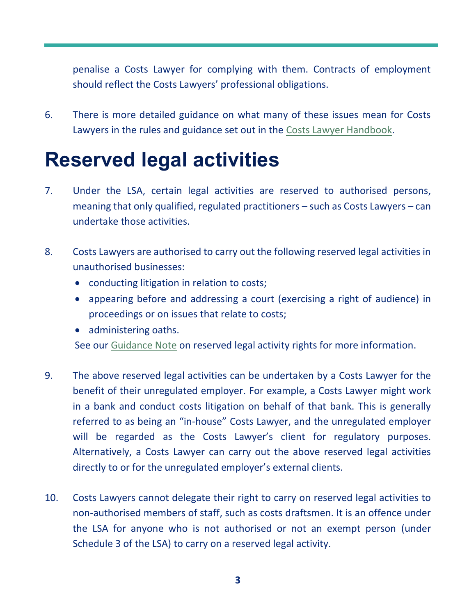penalise a Costs Lawyer for complying with them. Contracts of employment should reflect the Costs Lawyers' professional obligations.

6. There is more detailed guidance on what many of these issues mean for Costs Lawyers in the rules and guidance set out in the [Costs Lawyer](https://clsb.info/for-costs-lawyers/costs-lawyer-handbook/) Handbook.

### **Reserved legal activities**

- 7. Under the LSA, certain legal activities are reserved to authorised persons, meaning that only qualified, regulated practitioners – such as Costs Lawyers – can undertake those activities.
- 8. Costs Lawyers are authorised to carry out the following reserved legal activities in unauthorised businesses:
	- conducting litigation in relation to costs;
	- appearing before and addressing a court (exercising a right of audience) in proceedings or on issues that relate to costs;
	- administering oaths.

See our [Guidance Note](https://clsb.info/for-costs-lawyers/costs-lawyer-handbook/) on reserved legal activity rights for more information.

- 9. The above reserved legal activities can be undertaken by a Costs Lawyer for the benefit of their unregulated employer. For example, a Costs Lawyer might work in a bank and conduct costs litigation on behalf of that bank. This is generally referred to as being an "in-house" Costs Lawyer, and the unregulated employer will be regarded as the Costs Lawyer's client for regulatory purposes. Alternatively, a Costs Lawyer can carry out the above reserved legal activities directly to or for the unregulated employer's external clients.
- 10. Costs Lawyers cannot delegate their right to carry on reserved legal activities to non-authorised members of staff, such as costs draftsmen. It is an offence under the LSA for anyone who is not authorised or not an exempt person (under Schedule 3 of the LSA) to carry on a reserved legal activity.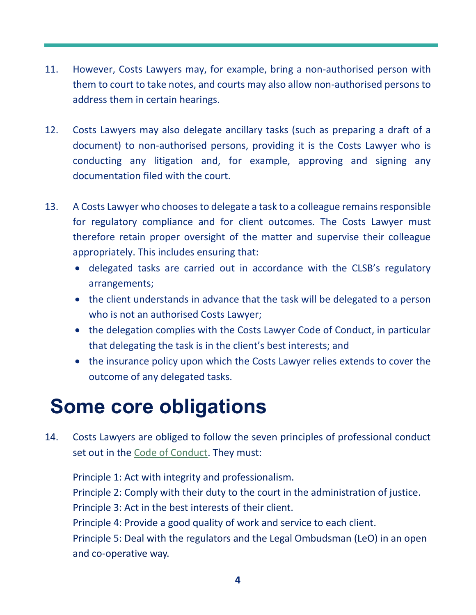- 11. However, Costs Lawyers may, for example, bring a non-authorised person with them to court to take notes, and courts may also allow non-authorised persons to address them in certain hearings.
- 12. Costs Lawyers may also delegate ancillary tasks (such as preparing a draft of a document) to non-authorised persons, providing it is the Costs Lawyer who is conducting any litigation and, for example, approving and signing any documentation filed with the court.
- 13. A Costs Lawyer who chooses to delegate a task to a colleague remains responsible for regulatory compliance and for client outcomes. The Costs Lawyer must therefore retain proper oversight of the matter and supervise their colleague appropriately. This includes ensuring that:
	- delegated tasks are carried out in accordance with the CLSB's regulatory arrangements;
	- the client understands in advance that the task will be delegated to a person who is not an authorised Costs Lawyer;
	- the delegation complies with the Costs Lawyer Code of Conduct, in particular that delegating the task is in the client's best interests; and
	- the insurance policy upon which the Costs Lawyer relies extends to cover the outcome of any delegated tasks.

### **Some core obligations**

14. Costs Lawyers are obliged to follow the seven principles of professional conduct set out in the [Code of Conduct.](https://clsb.info/for-costs-lawyers/costs-lawyer-handbook/) They must:

Principle 1: Act with integrity and professionalism. Principle 2: Comply with their duty to the court in the administration of justice. Principle 3: Act in the best interests of their client. Principle 4: Provide a good quality of work and service to each client. Principle 5: Deal with the regulators and the Legal Ombudsman (LeO) in an open and co-operative way.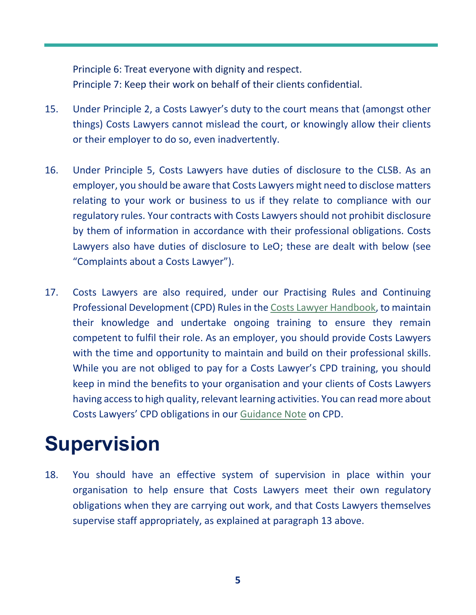Principle 6: Treat everyone with dignity and respect. Principle 7: Keep their work on behalf of their clients confidential.

- 15. Under Principle 2, a Costs Lawyer's duty to the court means that (amongst other things) Costs Lawyers cannot mislead the court, or knowingly allow their clients or their employer to do so, even inadvertently.
- 16. Under Principle 5, Costs Lawyers have duties of disclosure to the CLSB. As an employer, you should be aware that Costs Lawyers might need to disclose matters relating to your work or business to us if they relate to compliance with our regulatory rules. Your contracts with Costs Lawyers should not prohibit disclosure by them of information in accordance with their professional obligations. Costs Lawyers also have duties of disclosure to LeO; these are dealt with below (see "Complaints about a Costs Lawyer").
- 17. Costs Lawyers are also required, under our Practising Rules and Continuing Professional Development (CPD) Rules in the [Costs Lawyer Handbook,](https://clsb.info/for-costs-lawyers/costs-lawyer-handbook/) to maintain their knowledge and undertake ongoing training to ensure they remain competent to fulfil their role. As an employer, you should provide Costs Lawyers with the time and opportunity to maintain and build on their professional skills. While you are not obliged to pay for a Costs Lawyer's CPD training, you should keep in mind the benefits to your organisation and your clients of Costs Lawyers having access to high quality, relevant learning activities. You can read more about Costs Lawyers' CPD obligations in our [Guidance Note](https://clsb.info/for-costs-lawyers/costs-lawyer-handbook/) on CPD.

### **Supervision**

18. You should have an effective system of supervision in place within your organisation to help ensure that Costs Lawyers meet their own regulatory obligations when they are carrying out work, and that Costs Lawyers themselves supervise staff appropriately, as explained at paragraph 13 above.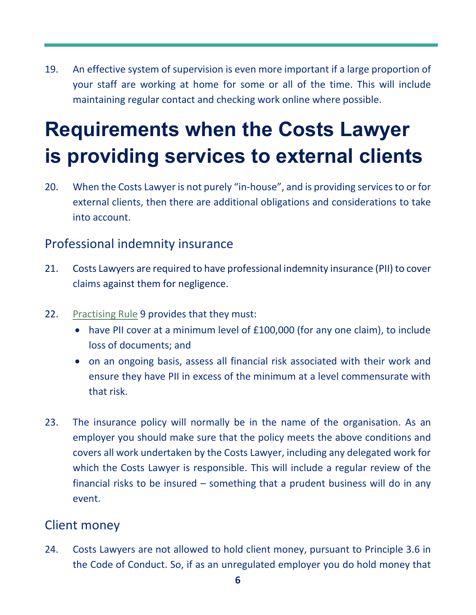19. An effective system of supervision is even more important if a large proportion of your staff are working at home for some or all of the time. This will include maintaining regular contact and checking work online where possible.

# **Requirements when the Costs Lawyer is providing services to external clients**

20. When the Costs Lawyer is not purely "in-house", and is providing services to or for external clients, then there are additional obligations and considerations to take into account.

#### Professional indemnity insurance

- 21. Costs Lawyers are required to have professional indemnity insurance (PII) to cover claims against them for negligence.
- 22. [Practising Rule](https://clsb.info/for-costs-lawyers/costs-lawyer-handbook/) 9 provides that they must:
	- have PII cover at a minimum level of £100,000 (for any one claim), to include loss of documents; and
	- on an ongoing basis, assess all financial risk associated with their work and ensure they have PII in excess of the minimum at a level commensurate with that risk.
- 23. The insurance policy will normally be in the name of the organisation. As an employer you should make sure that the policy meets the above conditions and covers all work undertaken by the Costs Lawyer, including any delegated work for which the Costs Lawyer is responsible. This will include a regular review of the financial risks to be insured – something that a prudent business will do in any event.

#### Client money

24. Costs Lawyers are not allowed to hold client money, pursuant to Principle 3.6 in the Code of Conduct. So, if as an unregulated employer you do hold money that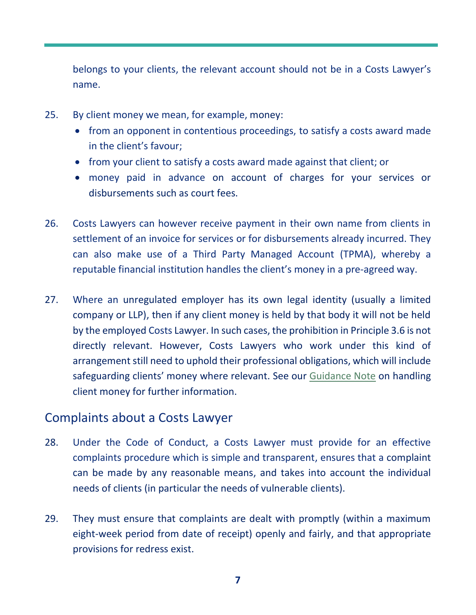belongs to your clients, the relevant account should not be in a Costs Lawyer's name.

- 25. By client money we mean, for example, money:
	- from an opponent in contentious proceedings, to satisfy a costs award made in the client's favour;
	- from your client to satisfy a costs award made against that client; or
	- money paid in advance on account of charges for your services or disbursements such as court fees.
- 26. Costs Lawyers can however receive payment in their own name from clients in settlement of an invoice for services or for disbursements already incurred. They can also make use of a Third Party Managed Account (TPMA), whereby a reputable financial institution handles the client's money in a pre-agreed way.
- 27. Where an unregulated employer has its own legal identity (usually a limited company or LLP), then if any client money is held by that body it will not be held by the employed Costs Lawyer. In such cases, the prohibition in Principle 3.6 is not directly relevant. However, Costs Lawyers who work under this kind of arrangement still need to uphold their professional obligations, which will include safeguarding clients' money where relevant. See our [Guidance Note](https://clsb.info/for-costs-lawyers/costs-lawyer-handbook/) on handling client money for further information.

#### Complaints about a Costs Lawyer

- 28. Under the Code of Conduct, a Costs Lawyer must provide for an effective complaints procedure which is simple and transparent, ensures that a complaint can be made by any reasonable means, and takes into account the individual needs of clients (in particular the needs of vulnerable clients).
- 29. They must ensure that complaints are dealt with promptly (within a maximum eight-week period from date of receipt) openly and fairly, and that appropriate provisions for redress exist.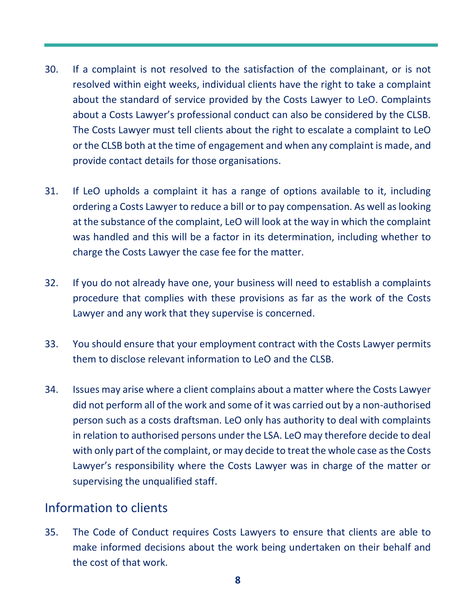- 30. If a complaint is not resolved to the satisfaction of the complainant, or is not resolved within eight weeks, individual clients have the right to take a complaint about the standard of service provided by the Costs Lawyer to [LeO.](https://www.legalombudsman.org.uk/) Complaints about a Costs Lawyer's professional conduct can also be considered by the CLSB. The Costs Lawyer must tell clients about the right to escalate a complaint to LeO or the CLSB both at the time of engagement and when any complaint is made, and provide contact details for those organisations.
- 31. If LeO upholds a complaint it has a range of options available to it, including ordering a Costs Lawyer to reduce a bill or to pay compensation. As well as looking at the substance of the complaint, LeO will look at the way in which the complaint was handled and this will be a factor in its determination, including whether to charge the Costs Lawyer the case fee for the matter.
- 32. If you do not already have one, your business will need to establish a complaints procedure that complies with these provisions as far as the work of the Costs Lawyer and any work that they supervise is concerned.
- 33. You should ensure that your employment contract with the Costs Lawyer permits them to disclose relevant information to LeO and the CLSB.
- 34. Issues may arise where a client complains about a matter where the Costs Lawyer did not perform all of the work and some of it was carried out by a non-authorised person such as a costs draftsman. LeO only has authority to deal with complaints in relation to authorised persons under the LSA. LeO may therefore decide to deal with only part of the complaint, or may decide to treat the whole case as the Costs Lawyer's responsibility where the Costs Lawyer was in charge of the matter or supervising the unqualified staff.

#### Information to clients

35. The Code of Conduct requires Costs Lawyers to ensure that clients are able to make informed decisions about the work being undertaken on their behalf and the cost of that work.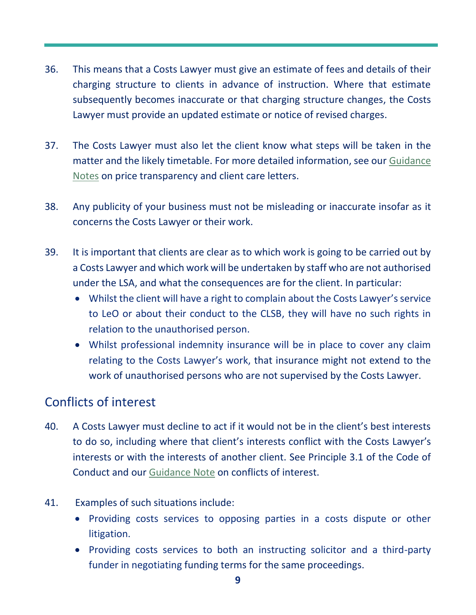- 36. This means that a Costs Lawyer must give an estimate of fees and details of their charging structure to clients in advance of instruction. Where that estimate subsequently becomes inaccurate or that charging structure changes, the Costs Lawyer must provide an updated estimate or notice of revised charges.
- 37. The Costs Lawyer must also let the client know what steps will be taken in the matter and the likely timetable. For more detailed information, see our [Guidance](https://clsb.info/for-costs-lawyers/costs-lawyer-handbook/)  [Notes](https://clsb.info/for-costs-lawyers/costs-lawyer-handbook/) on price transparency and client care letters.
- 38. Any publicity of your business must not be misleading or inaccurate insofar as it concerns the Costs Lawyer or their work.
- 39. It is important that clients are clear as to which work is going to be carried out by a Costs Lawyer and which work will be undertaken by staff who are not authorised under the LSA, and what the consequences are for the client. In particular:
	- Whilst the client will have a right to complain about the Costs Lawyer's service to LeO or about their conduct to the CLSB, they will have no such rights in relation to the unauthorised person.
	- Whilst professional indemnity insurance will be in place to cover any claim relating to the Costs Lawyer's work, that insurance might not extend to the work of unauthorised persons who are not supervised by the Costs Lawyer.

### Conflicts of interest

- 40. A Costs Lawyer must decline to act if it would not be in the client's best interests to do so, including where that client's interests conflict with the Costs Lawyer's interests or with the interests of another client. See Principle 3.1 of the Code of Conduct and our [Guidance Note](https://clsb.info/for-costs-lawyers/costs-lawyer-handbook/) on conflicts of interest.
- 41. Examples of such situations include:
	- Providing costs services to opposing parties in a costs dispute or other litigation.
	- Providing costs services to both an instructing solicitor and a third-party funder in negotiating funding terms for the same proceedings.